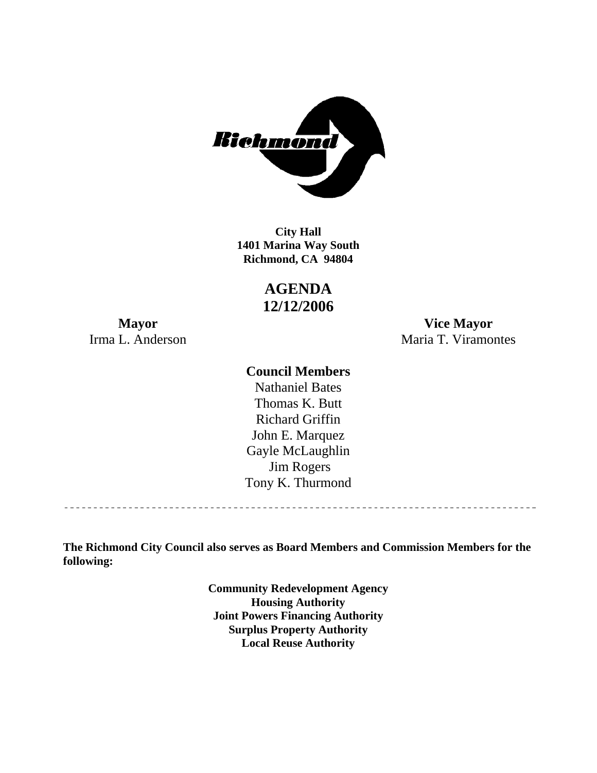

**1401 Marina Way South Richmond, CA 94804 City Hall** 

> **AGENDA 12/12/2006**

**Mayor Vice Mayor**  Irma L. Anderson Maria T. Viramontes

## **Council Members**

Gayle McLaughlin Jim Rogers Tony K. Thurmond Nathaniel Bates Thomas K. Butt Richard Griffin John E. Marquez

**The Richmond City Council also serves as Board Members and Commission Members for the following:** 

> **Community Redevelopment Agency Housing Authority Joint Powers Financing Authority Surplus Property Authority Local Reuse Authority**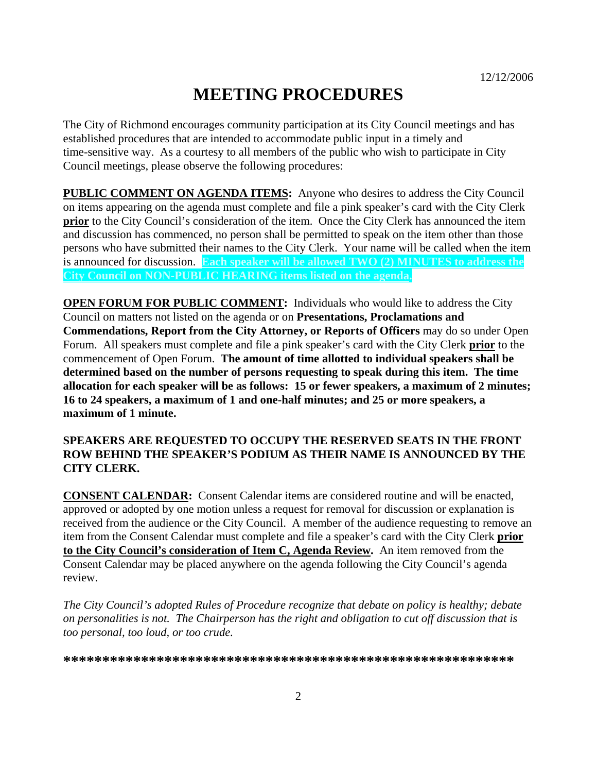# **MEETING PROCEDURES**

The City of Richmond encourages community participation at its City Council meetings and has established procedures that are intended to accommodate public input in a timely and time-sensitive way. As a courtesy to all members of the public who wish to participate in City Council meetings, please observe the following procedures:

**PUBLIC COMMENT ON AGENDA ITEMS:** Anyone who desires to address the City Council on items appearing on the agenda must complete and file a pink speaker's card with the City Clerk **prior** to the City Council's consideration of the item. Once the City Clerk has announced the item and discussion has commenced, no person shall be permitted to speak on the item other than those persons who have submitted their names to the City Clerk. Your name will be called when the item is announced for discussion. **Each speaker will be allowed TWO (2) MINUTES to address the City Council on NON-PUBLIC HEARING items listed on the agenda.** 

**OPEN FORUM FOR PUBLIC COMMENT:** Individuals who would like to address the City Council on matters not listed on the agenda or on **Presentations, Proclamations and Commendations, Report from the City Attorney, or Reports of Officers** may do so under Open Forum. All speakers must complete and file a pink speaker's card with the City Clerk **prior** to the commencement of Open Forum. **The amount of time allotted to individual speakers shall be determined based on the number of persons requesting to speak during this item. The time allocation for each speaker will be as follows: 15 or fewer speakers, a maximum of 2 minutes; 16 to 24 speakers, a maximum of 1 and one-half minutes; and 25 or more speakers, a maximum of 1 minute.** 

#### **SPEAKERS ARE REQUESTED TO OCCUPY THE RESERVED SEATS IN THE FRONT ROW BEHIND THE SPEAKER'S PODIUM AS THEIR NAME IS ANNOUNCED BY THE CITY CLERK.**

**CONSENT CALENDAR:** Consent Calendar items are considered routine and will be enacted, approved or adopted by one motion unless a request for removal for discussion or explanation is received from the audience or the City Council. A member of the audience requesting to remove an item from the Consent Calendar must complete and file a speaker's card with the City Clerk **prior to the City Council's consideration of Item C, Agenda Review.** An item removed from the Consent Calendar may be placed anywhere on the agenda following the City Council's agenda review.

*The City Council's adopted Rules of Procedure recognize that debate on policy is healthy; debate on personalities is not. The Chairperson has the right and obligation to cut off discussion that is too personal, too loud, or too crude.* 

**\*\*\*\*\*\*\*\*\*\*\*\*\*\*\*\*\*\*\*\*\*\*\*\*\*\*\*\*\*\*\*\*\*\*\*\*\*\*\*\*\*\*\*\*\*\*\*\*\*\*\*\*\*\*\*\*\*\***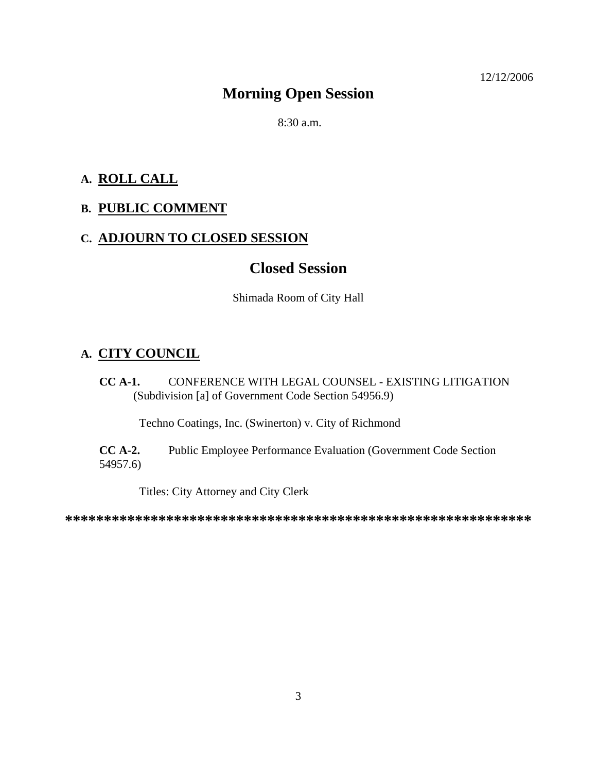## **Morning Open Session**

8:30 a.m.

## **A. ROLL CALL**

#### **B. PUBLIC COMMENT**

#### **C. ADJOURN TO CLOSED SESSION**

## **Closed Session**

Shimada Room of City Hall

## **A. CITY COUNCIL**

**CC A-1.** CONFERENCE WITH LEGAL COUNSEL - EXISTING LITIGATION (Subdivision [a] of Government Code Section 54956.9)

Techno Coatings, Inc. (Swinerton) v. City of Richmond

**CC A-2.** Public Employee Performance Evaluation (Government Code Section 54957.6)

Titles: City Attorney and City Clerk

**\*\*\*\*\*\*\*\*\*\*\*\*\*\*\*\*\*\*\*\*\*\*\*\*\*\*\*\*\*\*\*\*\*\*\*\*\*\*\*\*\*\*\*\*\*\*\*\*\*\*\*\*\*\*\*\*\*\*\*\***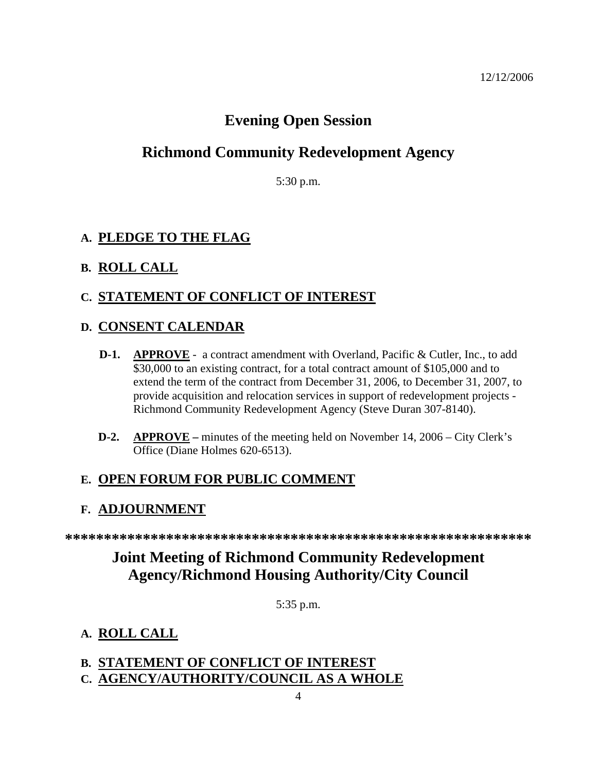## **Evening Open Session**

## **Richmond Community Redevelopment Agency**

5:30 p.m.

## **A. PLEDGE TO THE FLAG**

## **B. ROLL CALL**

## **C. STATEMENT OF CONFLICT OF INTEREST**

## **D. CONSENT CALENDAR**

- **D-1. APPROVE** a contract amendment with Overland, Pacific & Cutler, Inc., to add \$30,000 to an existing contract, for a total contract amount of \$105,000 and to extend the term of the contract from December 31, 2006, to December 31, 2007, to provide acquisition and relocation services in support of redevelopment projects - Richmond Community Redevelopment Agency (Steve Duran 307-8140).
- **D-2.** APPROVE minutes of the meeting held on November 14, 2006 City Clerk's Office (Diane Holmes 620-6513).

## **E. OPEN FORUM FOR PUBLIC COMMENT**

#### **F. ADJOURNMENT**

**\*\*\*\*\*\*\*\*\*\*\*\*\*\*\*\*\*\*\*\*\*\*\*\*\*\*\*\*\*\*\*\*\*\*\*\*\*\*\*\*\*\*\*\*\*\*\*\*\*\*\*\*\*\*\*\*\*\*\*\*** 

## **Joint Meeting of Richmond Community Redevelopment Agency/Richmond Housing Authority/City Council**

5:35 p.m.

## **A. ROLL CALL**

#### **B. STATEMENT OF CONFLICT OF INTEREST C. AGENCY/AUTHORITY/COUNCIL AS A WHOLE**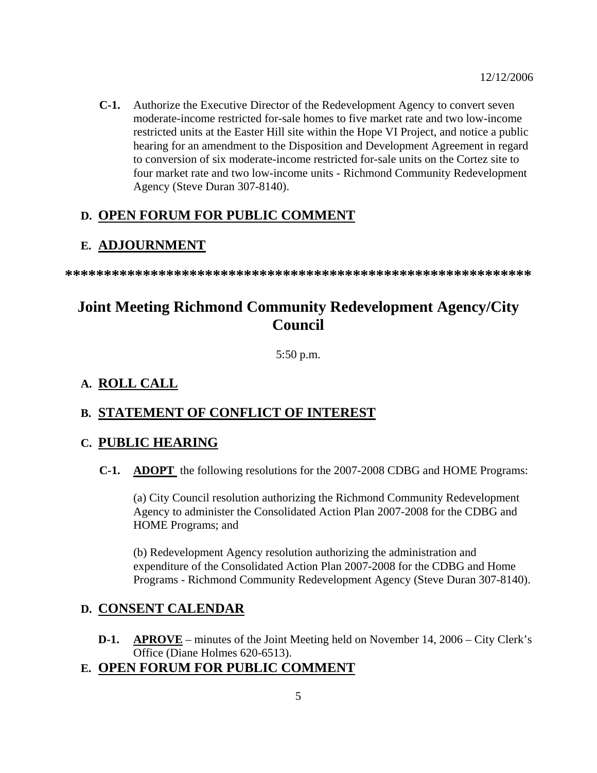**C-1.** Authorize the Executive Director of the Redevelopment Agency to convert seven moderate-income restricted for-sale homes to five market rate and two low-income restricted units at the Easter Hill site within the Hope VI Project, and notice a public hearing for an amendment to the Disposition and Development Agreement in regard to conversion of six moderate-income restricted for-sale units on the Cortez site to four market rate and two low-income units - Richmond Community Redevelopment Agency (Steve Duran 307-8140).

## **D. OPEN FORUM FOR PUBLIC COMMENT**

## **E. ADJOURNMENT**

**\*\*\*\*\*\*\*\*\*\*\*\*\*\*\*\*\*\*\*\*\*\*\*\*\*\*\*\*\*\*\*\*\*\*\*\*\*\*\*\*\*\*\*\*\*\*\*\*\*\*\*\*\*\*\*\*\*\*\*\*** 

## **Joint Meeting Richmond Community Redevelopment Agency/City Council**

5:50 p.m.

## **A. ROLL CALL**

## **B. STATEMENT OF CONFLICT OF INTEREST**

## **C. PUBLIC HEARING**

**C-1. ADOPT** the following resolutions for the 2007-2008 CDBG and HOME Programs:

(a) City Council resolution authorizing the Richmond Community Redevelopment Agency to administer the Consolidated Action Plan 2007-2008 for the CDBG and HOME Programs; and

(b) Redevelopment Agency resolution authorizing the administration and expenditure of the Consolidated Action Plan 2007-2008 for the CDBG and Home Programs - Richmond Community Redevelopment Agency (Steve Duran 307-8140).

## **D. CONSENT CALENDAR**

**D-1.** APROVE – minutes of the Joint Meeting held on November 14, 2006 – City Clerk's Office (Diane Holmes 620-6513).

## **E. OPEN FORUM FOR PUBLIC COMMENT**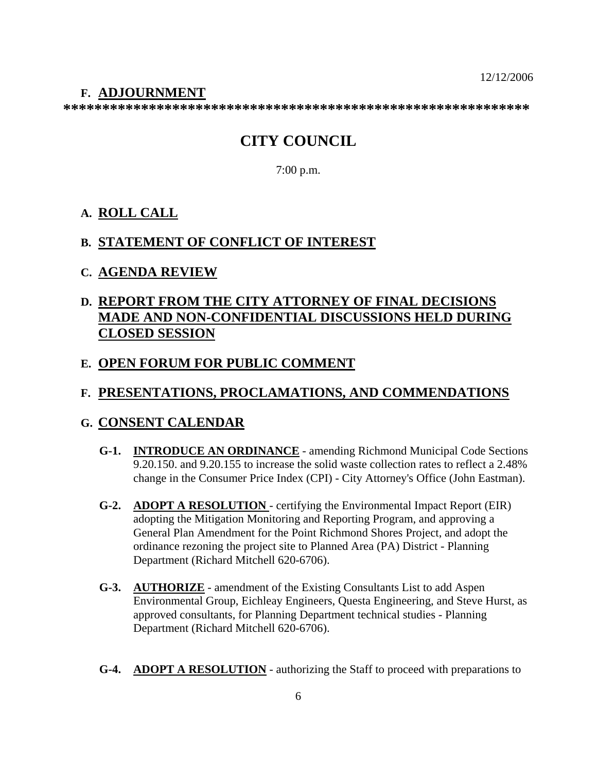#### **F. ADJOURNMENT**

**\*\*\*\*\*\*\*\*\*\*\*\*\*\*\*\*\*\*\*\*\*\*\*\*\*\*\*\*\*\*\*\*\*\*\*\*\*\*\*\*\*\*\*\*\*\*\*\*\*\*\*\*\*\*\*\*\*\*\*\*** 

## **CITY COUNCIL**

7:00 p.m.

#### **A. ROLL CALL**

#### **B. STATEMENT OF CONFLICT OF INTEREST**

**C. AGENDA REVIEW**

## **D. REPORT FROM THE CITY ATTORNEY OF FINAL DECISIONS MADE AND NON-CONFIDENTIAL DISCUSSIONS HELD DURING CLOSED SESSION**

#### **E. OPEN FORUM FOR PUBLIC COMMENT**

## **F. PRESENTATIONS, PROCLAMATIONS, AND COMMENDATIONS**

#### **G. CONSENT CALENDAR**

- **G-1. INTRODUCE AN ORDINANCE** amending Richmond Municipal Code Sections 9.20.150. and 9.20.155 to increase the solid waste collection rates to reflect a 2.48% change in the Consumer Price Index (CPI) - City Attorney's Office (John Eastman).
- **G-2. ADOPT A RESOLUTION**  certifying the Environmental Impact Report (EIR) adopting the Mitigation Monitoring and Reporting Program, and approving a General Plan Amendment for the Point Richmond Shores Project, and adopt the ordinance rezoning the project site to Planned Area (PA) District - Planning Department (Richard Mitchell 620-6706).
- **G-3. AUTHORIZE** amendment of the Existing Consultants List to add Aspen Environmental Group, Eichleay Engineers, Questa Engineering, and Steve Hurst, as approved consultants, for Planning Department technical studies - Planning Department (Richard Mitchell 620-6706).
- **G-4. ADOPT A RESOLUTION** authorizing the Staff to proceed with preparations to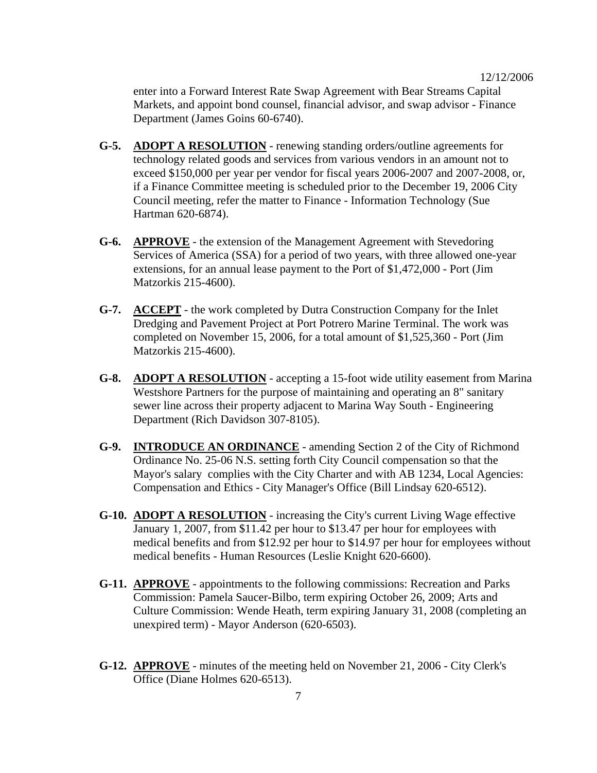enter into a Forward Interest Rate Swap Agreement with Bear Streams Capital Markets, and appoint bond counsel, financial advisor, and swap advisor - Finance Department (James Goins 60-6740).

- **G-5. ADOPT A RESOLUTION** renewing standing orders/outline agreements for technology related goods and services from various vendors in an amount not to exceed \$150,000 per year per vendor for fiscal years 2006-2007 and 2007-2008, or, if a Finance Committee meeting is scheduled prior to the December 19, 2006 City Council meeting, refer the matter to Finance - Information Technology (Sue Hartman 620-6874).
- **G-6. APPROVE** the extension of the Management Agreement with Stevedoring Services of America (SSA) for a period of two years, with three allowed one-year extensions, for an annual lease payment to the Port of \$1,472,000 - Port (Jim Matzorkis 215-4600).
- **G-7. ACCEPT** the work completed by Dutra Construction Company for the Inlet Dredging and Pavement Project at Port Potrero Marine Terminal. The work was completed on November 15, 2006, for a total amount of \$1,525,360 - Port (Jim Matzorkis 215-4600).
- **G-8. ADOPT A RESOLUTION** accepting a 15-foot wide utility easement from Marina Westshore Partners for the purpose of maintaining and operating an 8" sanitary sewer line across their property adjacent to Marina Way South - Engineering Department (Rich Davidson 307-8105).
- **G-9. INTRODUCE AN ORDINANCE** amending Section 2 of the City of Richmond Ordinance No. 25-06 N.S. setting forth City Council compensation so that the Mayor's salary complies with the City Charter and with AB 1234, Local Agencies: Compensation and Ethics - City Manager's Office (Bill Lindsay 620-6512).
- **G-10. ADOPT A RESOLUTION** increasing the City's current Living Wage effective January 1, 2007, from \$11.42 per hour to \$13.47 per hour for employees with medical benefits and from \$12.92 per hour to \$14.97 per hour for employees without medical benefits - Human Resources (Leslie Knight 620-6600).
- **G-11. APPROVE** appointments to the following commissions: Recreation and Parks Commission: Pamela Saucer-Bilbo, term expiring October 26, 2009; Arts and Culture Commission: Wende Heath, term expiring January 31, 2008 (completing an unexpired term) - Mayor Anderson (620-6503).
- **G-12. APPROVE** minutes of the meeting held on November 21, 2006 City Clerk's Office (Diane Holmes 620-6513).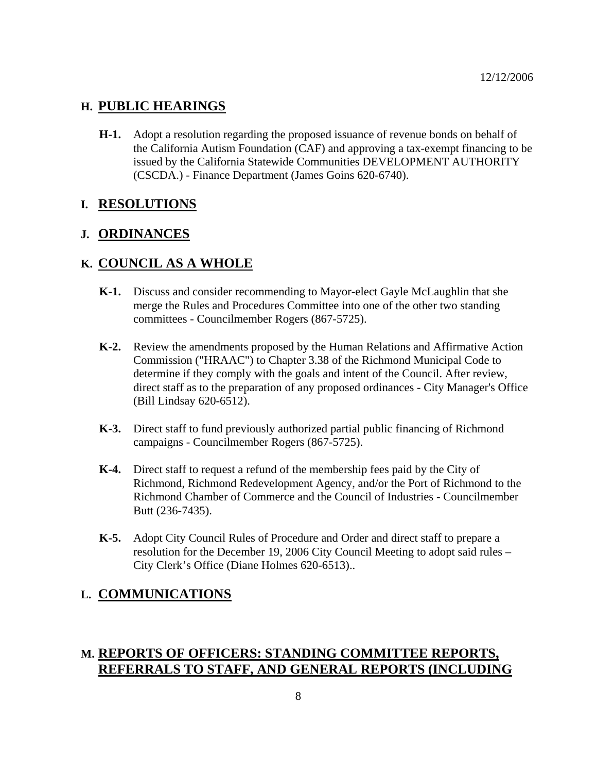#### **H. PUBLIC HEARINGS**

**H-1.** Adopt a resolution regarding the proposed issuance of revenue bonds on behalf of the California Autism Foundation (CAF) and approving a tax-exempt financing to be issued by the California Statewide Communities DEVELOPMENT AUTHORITY (CSCDA.) - Finance Department (James Goins 620-6740).

#### **I. RESOLUTIONS**

#### **J. ORDINANCES**

#### **K. COUNCIL AS A WHOLE**

- **K-1.** Discuss and consider recommending to Mayor-elect Gayle McLaughlin that she merge the Rules and Procedures Committee into one of the other two standing committees - Councilmember Rogers (867-5725).
- **K-2.** Review the amendments proposed by the Human Relations and Affirmative Action Commission ("HRAAC") to Chapter 3.38 of the Richmond Municipal Code to determine if they comply with the goals and intent of the Council. After review, direct staff as to the preparation of any proposed ordinances - City Manager's Office (Bill Lindsay 620-6512).
- **K-3.** Direct staff to fund previously authorized partial public financing of Richmond campaigns - Councilmember Rogers (867-5725).
- **K-4.** Direct staff to request a refund of the membership fees paid by the City of Richmond, Richmond Redevelopment Agency, and/or the Port of Richmond to the Richmond Chamber of Commerce and the Council of Industries - Councilmember Butt (236-7435).
- **K-5.** Adopt City Council Rules of Procedure and Order and direct staff to prepare a resolution for the December 19, 2006 City Council Meeting to adopt said rules – City Clerk's Office (Diane Holmes 620-6513)..

## **L. COMMUNICATIONS**

## **M. REPORTS OF OFFICERS: STANDING COMMITTEE REPORTS, REFERRALS TO STAFF, AND GENERAL REPORTS (INCLUDING**